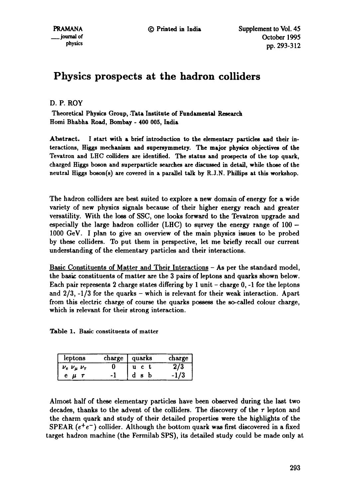# **Physics prospects at the hadron colliders**

D. P. ROY

Theoretical Physics Group, .Tata Institute of Fundamental Research Homi Bhabha Road, Bombay **- 400 005,** India

Abstract. I start with a brief introduction to the elementary particles and their interactions, Higgs mechanism and supersymmetry. The major physics objectives of **the**  Tevatron and LHC colliders are identified. The status and prospects of the top quark, charged Higgs boson and superparticle searches are discussed in detail, while those of the neutral Higgs boson(s) are covered in a paxallel talk by R.J.N. Phillips at this workshop.

The hadron colliders are best suited to explore a new domain of energy for a wide variety of new physics signals because of their higher energy reach and greater versatility. With the loss of SSC, one looks forward to the Tevatron upgrade and especially the large hadron collider (LHC) to survey the energy range of  $100 -$ 1000 GeV. I plan to give an overview of the main physics issues to be probed by these colliders. To put them in perspective, let me briefly recall our current understanding of the elementary particles and their interactions.

Basic Constituents of Matter and Their Interactions - As per the standard model, the basic constituents of matter are the 3 pairs of leptons and quarks shown below. Each pair represents 2 charge states differing by 1 unit  $-$  charge 0,  $-1$  for the leptons and  $2/3$ ,  $-1/3$  for the quarks – which is relevant for their weak interaction. Apart from this electric charge of course the quarks possess the so-called colour charge, which is relevant for their strong interaction.

Table 1. Basic constituents of matter

| leptons              | charge | quarks | charge |
|----------------------|--------|--------|--------|
| $v_e$ $v_u$ $v_\tau$ |        |        |        |
|                      |        |        |        |

Almost half of these elementary particles have been observed during the last two decades, thanks to the advent of the colliders. The discovery of the  $\tau$  lepton and the charm quark and study of their detailed properties were the highlights of the SPEAR  $(e^+e^-)$  collider. Although the bottom quark was first discovered in a fixed target hadron machine (the Fermilab SPS), its detailed study could be made only at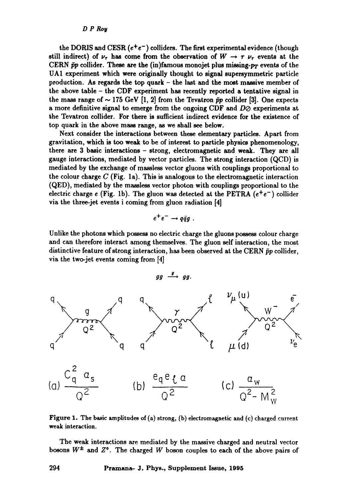the DORIS and CESR  $(e^+e^-)$  colliders. The first experimental evidence (though still indirect) of  $\nu_{\tau}$  has come from the observation of  $W \to \tau \nu_{\tau}$  events at the CERN  $\bar{p}p$  collider. These are the (in)famous monojet plus missing- $p_T$  events of the UA1 experiment which were originally thought to signal supersymmetric particle production. As regards the top quark  $-$  the last and the most massive member of the above table - the CDF experiment has recently reported a tentative signal in the mass range of  $\sim$  175 GeV [1, 2] from the Tevatron  $\bar{p}p$  collider [3]. One expects a more definitive signal to emerge from the ongoing CDF and  $D\varnothing$  experiments at the Tevatron collider. For there is sufficient indirect evidence for the existence of top quark in the above mass range, as we shall see below.

Next consider the interactions between these elementary particles. Apart from gravitation, which is too weak to be of interest to particle physics phenomenology, there are 3 basic interactions - strong, electromagnetic and weak. They are all gauge interactions, mediated by vector particles. The strong interaction (QCD) is mediated by the exchange of massless vector gluons with couplings proportional to the colour charge  $C$  (Fig. 1a). This is analogous to the electromagnetic interaction (QED), mediated by the massless vector photon with couplings proportional to the electric charge e (Fig. 1b). The gluon was detected at the PETRA  $(e^+e^-)$  collider via the three-jet events i coming from gluon radiation [4]

$$
e^+e^- \to q\bar{q}g
$$
.

Unlike the photons which possess no electric charge the gluons possess colour charge and can therefore interact among themselves. The gluon self interaction, the most distinctive feature of strong interaction, has been observed at the CERN  $\bar{p}p$  collider, via the two-jet events coming from [4]



Figure 1. The basic amplitudes of (a) strong, (b) electromagnetic and (c) charged current weak interaction.

The weak interactions are mediated by the massive charged and neutral vector bosons  $W^{\pm}$  and  $Z^{\circ}$ . The charged W boson couples to each of the above pairs of

**294 Pramana- J. Phys., Supplement Issue, 1995**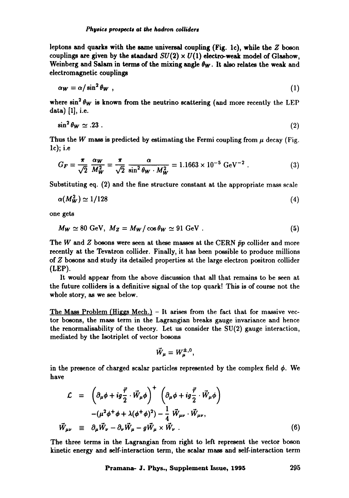leptons and quarks with the same universal coupling (Fig. 1c), while the  $Z$  boson couplings are given by the standard  $SU(2) \times U(1)$  electro-weak model of Glashow, Weinberg and Salam in terms of the mixing angle  $\theta_{\mathbf{W}}$ . It also relates the weak and electromagnetic couplings

$$
\alpha_W = \alpha / \sin^2 \theta_W \tag{1}
$$

where  $\sin^2 \theta_W$  is known from the neutrino scattering (and more recently the LEP data) [1], i.e.

$$
\sin^2 \theta_W \simeq .23 \ . \tag{2}
$$

Thus the W mass is predicted by estimating the Fermi coupling from  $\mu$  decay (Fig. lc); i.e

$$
G_F = \frac{\pi}{\sqrt{2}} \frac{\alpha_W}{M_W^2} = \frac{\pi}{\sqrt{2}} \frac{\alpha}{\sin^2 \theta_W \cdot M_W^2} = 1.1663 \times 10^{-5} \text{ GeV}^{-2} . \tag{3}
$$

Substituting eq. (2) and the fine structure constant at the appropriate mass scale

$$
\alpha(M_W^2) \simeq 1/128\tag{4}
$$

one gets

$$
M_W \simeq 80 \text{ GeV}, \ M_Z = M_W / \cos \theta_W \simeq 91 \text{ GeV}. \tag{5}
$$

The W and Z bosons were seen at these masses at the CERN  $\bar{p}p$  collider and more recently at the Tevatron collider. Finally, it has been possible to produce millions of Z bosons and study its detailed properties at the large electron positron collider (LEP).

It would appear from the above discussion that all that remains to be seen at the future colliders is a definitive signal of the top quark! This is of course not the whole story, as we see below.

The Mass Problem (Higgs Mech.) - It arises from the fact that for massive vector bosons, the mass term in the Lagrangian breaks gauge invariance and hence the renormalisability of the theory. Let us consider the  $SU(2)$  gauge interaction, mediated by the Isotriplet of vector bosons

$$
\vec{W}_{\mu}=W_{\mu}^{\pm,0},
$$

in the presence of charged scalar particles represented by the complex field  $\phi$ . We have

$$
\mathcal{L} = \left( \partial_{\mu} \phi + i g \frac{\vec{\tau}}{2} \cdot \vec{W}_{\mu} \phi \right)^{+} \left( \partial_{\mu} \phi + i g \frac{\vec{\tau}}{2} \cdot \vec{W}_{\mu} \phi \right)
$$
  

$$
- (\mu^{2} \phi^{+} \phi + \lambda (\phi^{+} \phi)^{2}) - \frac{1}{4} \vec{W}_{\mu \nu} \cdot \vec{W}_{\mu \nu},
$$
  

$$
\vec{W}_{\mu \nu} \equiv \partial_{\mu} \vec{W}_{\nu} - \partial_{\nu} \vec{W}_{\mu} - g \vec{W}_{\mu} \times \vec{W}_{\nu}. \tag{6}
$$

The three terms in the Lagrangian from right to left represent the vector boson kinetic energy and self-interaction term, the scalar mass and self-interaction term

**Praman~ J. Phys., Supplement Issue, 1995 295**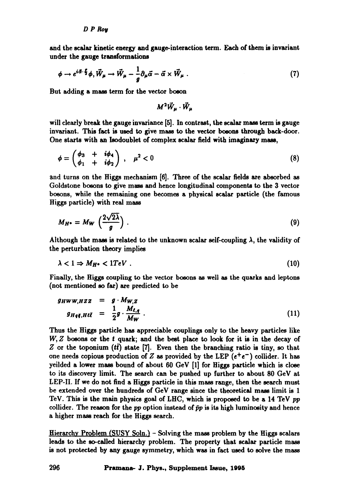and the scalar kinetic energy and gauge-interaction term. Each of them is invariant under the gauge transformations

$$
\phi \to e^{i\vec{\alpha}\cdot\vec{\xi}}\phi, \vec{W}_{\mu} \to \vec{W}_{\mu} - \frac{1}{g}\partial_{\mu}\vec{\alpha} - \vec{\alpha} \times \vec{W}_{\mu} . \tag{7}
$$

But adding a mass term for the vector boson

$$
M^2 \vec{W}_{\mu} \cdot \vec{W}_{\mu}
$$

will clearly break the gauge invariance [5]. In contrast, the scalar mass term is gauge invariant. This fact is used to give mass to the vector bosons through back-door. One starts with an lsodoublet of complex scalar field with imaginary mass,

$$
\phi = \begin{pmatrix} \phi_3 & + & i\phi_4 \\ \phi_1 & + & i\phi_2 \end{pmatrix} \,, \quad \mu^2 < 0 \tag{8}
$$

and turns on the Higgs mechanism [6]. Three of the scalar fields are absorbed as Goldstone bosons to give mass and hence longitudinal components to the 3 vector bosons, while the remaining one becomes a physical scalar particle (the famous Higgs particle) with real mass

$$
M_{H^*} = M_W \left(\frac{2\sqrt{2\lambda}}{g}\right). \tag{9}
$$

Although the mass is related to the unknown scalar self-coupling  $\lambda$ , the validity of the perturbation theory implies

$$
\lambda < 1 \Rightarrow M_{H^{\circ}} < 1 TeV \tag{10}
$$

Finally, the Higgs coupling to the vector bosons as well as the quarks and leptons (not mentioned so far) are predicted to be

$$
g_{HWW,HZZ} = g \cdot M_{W,Z}
$$
  

$$
g_{Hq\bar{q},H\ell\bar{t}} = \frac{1}{2}g \cdot \frac{M_{\ell,q}}{M_W}.
$$
 (11)

Thus the Higgs particle has appreciable couplings only to the heavy particles like W, Z bosons or the t quark; and the best place to look for it is in the decay of Z or the toponium  $(t\bar{t})$  state [7]. Even then the branching ratio is tiny, so that one needs copious production of Z as provided by the LEP  $(e^+e^-)$  collider. It has yeilded a lower mass bound of about 60 GeV [I] for Higgs particle which is close to its discovery limit. The search can be pushed up further to about 80 GeV at LEP-II. If we do not find a Higgs particle in this mass range, then the search must be extended over the hundreds of GeV range since the theoretical mass limit is 1 TeV. This is the main physics goal of LHC, which is proposed to be a 14 TeV pp collider. The reason for the  $pp$  option instead of  $\bar{p}p$  is its high luminosity and hence a higher mass reach for the Higgs search.

Hierarchy Problem (SUSY Soln.) - Solving the mass problem by the Higgs scalars leads to the so-called hierarchy problem. The property that scalar particle mass is not protected by any gauge symmetry, which was in fact used to solve the mass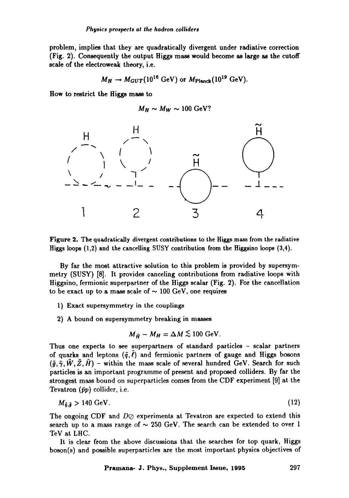problem, implies that they are quadratically divergent under radiative correction (Fig. 2). Consequently the output Higgs mass would become as large as the cutoff scale of the electroweak theory, i.e.

$$
M_H \rightarrow M_{GUT} (10^{16} \text{ GeV}) \text{ or } M_{\text{Planck}} (10^{19} \text{ GeV}).
$$

**How to restrict the Higgs mass to** 

$$
M_H \sim M_W \sim 100 \text{ GeV}?
$$



Figure 2. The quadratically divergent contributions to the Higgs mass from the radiative Higgs loops (1,2) and the cancelling SUSY contribution from the Higgsino loops (3,4).

By far the most attractive solution to this problem is provided by supersymmetry (SUSY) [8]. It provides canceling contributions from radiative loops with Higgsino, fermionic superpartner of the Higgs scalar (Fig. 2). For the cancellation to be exact up to a mass scale of  $\sim 100$  GeV, one requires

- 1) Exact supersymmetry in the couplings
- 2) A bound on supersymmetry breaking in masses

$$
M_{\tilde{H}} - M_H = \Delta M \lesssim 100 \text{ GeV}.
$$

Thus one expects to see superpartners of standard particles - scalar partners of quarks and leptons  $(\tilde{q}, \ell)$  and fermionic partners of gauge and Higgs bosons  $({\tilde q}, {\tilde \gamma}, {\tilde W}, {\tilde Z}, {\tilde H})$  – within the mass scale of several hundred GeV. Search for such particles is an important programme of present and proposed colliders. By far the strongest mass bound on superparticles comes from the CDF experiment [9] at the Tevatron  $(\bar{p}p)$  collider, i.e.

$$
M_{\tilde{\mathfrak{g}},\tilde{\mathfrak{g}}} > 140 \text{ GeV}. \tag{12}
$$

The ongoing CDF and  $D\varnothing$  experiments at Tevatron are expected to extend this search up to a mass range of  $\sim 250$  GeV. The search can be extended to over 1 TeV at LHC.

It is clear from the above discussions that the searches for top quark, Higgs boson(s) and possible superparticles are the most important physics objectives of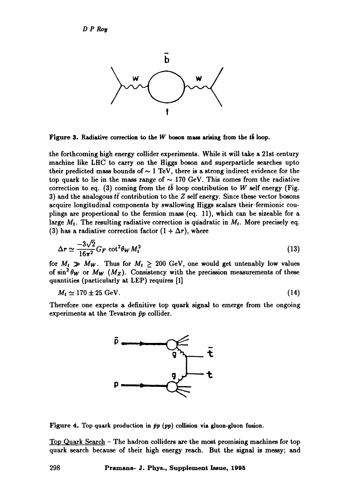

**Figure 3. Radiative correction to the W boson mass arising from the**  $t\bar{b}$  **loop.** 

the forthcoming high energy collider experiments. While it will take a 21st century machine like LHC to carry on the Higgs boson and superparticle searches upto their predicted mass bounds of  $\sim 1$  TeV, there is a strong indirect evidence for the top quark to lie in the mass range of  $\sim$  170 GeV. This comes from the radiative correction to eq. (3) coming from the tb loop contribution to W self energy (Fig. 3) and the analogous  $t\bar{t}$  contribution to the Z self energy. Since these vector bosons acquire longitudinal components by swallowing Higgs scalars their fermionic couplings are propertional to the fermion mass (eq. 11), which can be sizeable for a large  $M_t$ . The resulting radiative correction is quadratic in  $M_t$ . More precisely eq. (3) has a radiative correction factor  $(1 + \Delta r)$ , where

$$
\Delta r \simeq \frac{-3\sqrt{2}}{16\pi^2} G_F \cot^2 \theta_W M_t^2
$$
 (13)

for  $M_t \gg M_W$ . Thus for  $M_t \geq 200$  GeV, one would get untenably low values of  $\sin^2 \theta_W$  or  $M_W$  ( $M_Z$ ). Consistency with the precission measurements of these quantities (particularly at LEP) requires [1]

$$
M_t \simeq 170 \pm 25 \text{ GeV}.\tag{14}
$$

Therefore one expects a definitive top quark signal to emerge from the ongoing experiments at the Tevatron  $\bar{p}p$  collider.



Figure 4. Top quark production in  $\bar{p}p$  (pp) collision via gluon-gluon fusion.

Top Quark Search - The hadron colliders are the most promising machines for top quark search because of their high energy reach. But the signal is messy; and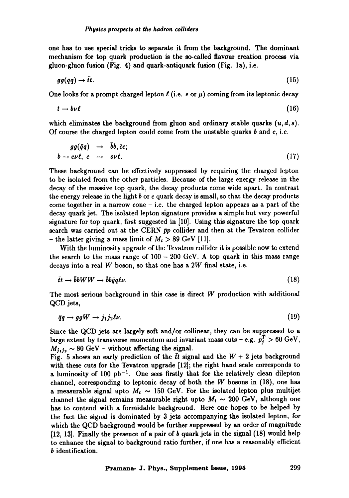one has to use special tricks to separate it from the background. The dominant mechanism for top quark production is the so-called flavour creation process via gluon-gluon fusion (Fig. 4) and quark-antiquark fusion (Fig. la), i.e.

$$
gg(\bar{q}q) \to \tilde{t}t. \tag{15}
$$

One looks for a prompt charged lepton  $\ell$  (i.e. e or  $\mu$ ) coming from its leptonic decay

$$
t \to b\nu\ell \tag{16}
$$

which eliminates the background from gluon and ordinary stable quarks  $(u, d, s)$ . Of course the charged lepton could come from the unstable quarks  $b$  and  $c$ , i.e.

$$
gg(\bar{q}q) \rightarrow \bar{b}b, \bar{c}c; b \rightarrow c\nu\ell, c \rightarrow s\nu\ell.
$$
 (17)

These background can be effectively suppressed by requiring the charged lepton to be isolated from the other particles. Because of the large energy release in the decay of the massive top quark, the decay products come wide apart. In contrast the energy release in the light  $b$  or  $c$  quark decay is small, so that the decay products come together in a narrow cone  $-$  i.e. the charged lepton appears as a part of the decay quark jet. The isolated lepton signature provides a simple but very powerful signature for top quark, first suggested in [10]. Using this signature the top quark search was carried out at the CERN  $\bar{p}p$  collider and then at the Tevatron collider - the latter giving a mass limit of  $M_t > 89$  GeV [11].

With the luminosity upgrade of the Tevatron collider it is possible now to extend the search to the mass range of  $100 - 200$  GeV. A top quark in this mass range decays into a real  $W$  boson, so that one has a  $2W$  final state, i.e.

$$
\tilde{t}t \to \bar{b}bWW \to \bar{b}b\bar{q}q\ell\nu. \tag{18}
$$

The most serious background in this case is direct W production with additional QCD jets,

$$
\bar{q}q \to ggW \to j_1j_2\ell\nu. \tag{19}
$$

Since the QCD jets are largely soft and/or collinear, they can be suppressed to a large extent by transverse momentum and invariant mass cuts – e.g.  $p_i^T > 60 \text{ GeV}$ ,  $M_{j_1j_2} \sim 80$  GeV - without affecting the signal.

Fig. 5 shows an early prediction of the  $\bar{t}t$  signal and the  $W + 2$  jets background with these cuts for the Tevatron upgrade [12]; the right hand scale corresponds to a luminosity of  $100$  pb<sup>-1</sup>. One sees firstly that for the relatively clean dilepton channel, corresponding to leptonic decay of both the W bosons in (18), one has a measurable signal upto  $M_t \sim 150$  GeV. For the isolated lepton plus multijet channel the signal remains measurable right upto  $M_t \sim 200$  GeV, although one has to contend with a formidable background. Here one hopes to be helped by the fact the signal is dominated by 3 jets accompanying the isolated lepton, for which the QCD background would be further suppressed by an order of magnitude [12, 13]. Finally the presence of a pair of b quark jets in the signal (18) would help to enhance the signal to background ratio further, if one has a reasonably efficient b identification.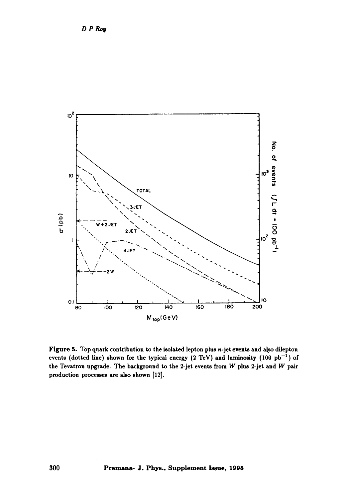

**Figure 5. Top quark contribution to the isolated lepton plus n-jet events and also dilepton**  events (dotted line) shown for the typical energy  $(2 \text{ TeV})$  and luminosity  $(100 \text{ pb}^{-1})$  of **the Tevatron upgrade. The background to the 2-jet events from W plus 2-jet and W pair production processes are also shown [12].**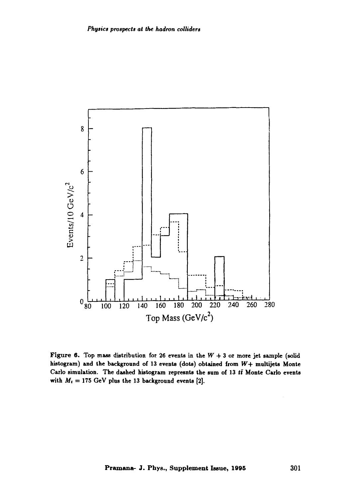

Figure 6. Top mass distribution for 26 events in the  $W + 3$  or more jet sample (solid histogram) and the background of 13 events (dots) obtained from  $W+$  multijets Monte Carlo simulation. The dashed histogram represnts the sum of 13  $t\bar{t}$  Monte Carlo events with  $M_t = 175$  GeV plus the 13 background events [2].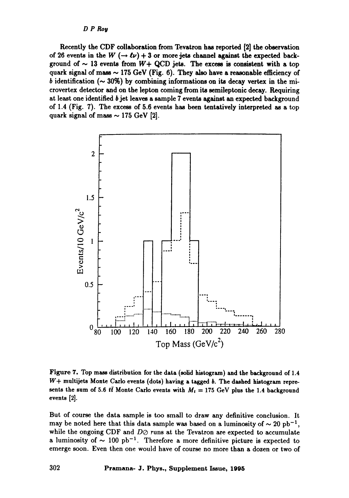Recently the CDF collaboration from Tevatron has reported [2] the observation of 26 events in the W  $(-\rightarrow \ell \nu) + 3$  or more jets channel against the expected background of  $\sim$  13 events from  $W+$  QCD jets. The excess is consistent with a top quark signal of mass  $\sim$  175 GeV (Fig. 6). They also have a reasonable efficiency of b identification ( $\sim$  30%) by combining informations on its decay vertex in the microvertex detector and on the lepton coming from its semileptonic decay. Requiring at least one identified b jet leaves a sample 7 events against an expected background of 1.4 (Fig. 7). The excess of 5.6 events has been tentatively interpreted as a top quark signal of mass  $\sim$  175 GeV [2].



Figure 7. Top mass distribution for the data (solid histogram) and the background of 1.4  $W+$  multijets Monte Carlo events (dots) having a tagged  $b$ . The dashed histogram represents the sum of 5.6  $t\bar{t}$  Monte Carlo events with  $M_t = 175$  GeV plus the 1.4 background events [2].

But of course the data sample is too small to draw any definitive conclusion. It may be noted here that this data sample was based on a luminosity of  $\sim 20 \text{ pb}^{-1}$ , while the ongoing CDF and  $D\oslash$  runs at the Tevatron are expected to accumulate a luminosity of  $\sim 100$  pb<sup>-1</sup>. Therefore a more definitive picture is expected to emerge soon. Even then one would have of course no more than a dozen or two of

**302 Pramana- J. Phys., Supplement Issue, 1995**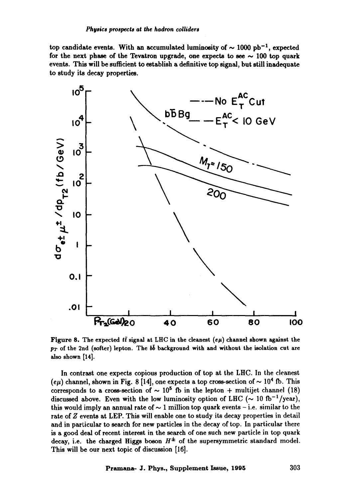top candidate events. With an accumulated luminosity of  $\sim 1000$  pb<sup>-1</sup>, expected for the next phase of the Tevatron upgrade, one expects to see  $\sim$  100 top quark events. This will be sufficient to establish a definitive top signal, but still inadequate to study its decay properties.



Figure 8. The expected  $t\bar{t}$  signal at LHC in the cleanest  $(e\mu)$  channel shown against the  $p_T$  of the 2nd (softer) lepton. The  $b\bar{b}$  background with and without the isolation cut are also shown [14].

In contrast one expects copious production of top at the LHC. In the cleanest  $(e\mu)$  channel, shown in Fig. 8 [14], one expects a top cross-section of  $\sim 10^4$  fb. This corresponds to a cross-section of  $\sim 10^5$  fb in the lepton + multijet channel (18) discussed above. Even with the low luminosity option of LHC ( $\sim 10$  fb<sup>-1</sup>/year), this would imply an annual rate of  $\sim 1$  million top quark events - i.e. similar to the rate of Z events at LEP. This will enable one to study its decay properties in detail and in particular to search for new particles in the decay of top. In particular there is a good deal of recent interest in the search of one such new particle in top quark decay, i.e. the charged Higgs boson  $H^{\pm}$  of the supersymmetric standard model. This will be our next topic of discussion [16].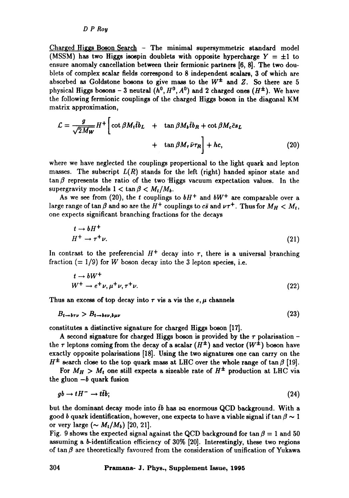Charged Higgs Boson Search  $-$  The minimal supersymmetric standard model (MSSM) has two Higgs isospin doublets with opposite hypercharge  $Y = \pm 1$  to ensure anomaly cancellation between their fermionic partners [6, 8]. The two doublets of complex scalar fields correspond to 8 independent scalars, 3 of which are absorbed as Goldstone bosons to give mass to the  $W^{\pm}$  and Z. So there are 5 physical Higgs bosons - 3 neutral  $(h^0, H^0, A^0)$  and 2 charged ones  $(H^{\pm})$ . We have the following fermionic couplings of the charged Higgs boson in the diagonal KM matrix approximation,

$$
\mathcal{L} = \frac{g}{\sqrt{2M_W}} H^+ \left[ \cot \beta M_t \bar{t} b_L + \tan \beta M_b \bar{t} b_R + \cot \beta M_c \bar{c} s_L + \tan \beta M_\tau \bar{\nu} \tau_R \right] + hc, \tag{20}
$$

where we have neglected the couplings propertional to the light quark and lepton masses. The subscript  $L(R)$  stands for the left (right) handed spinor state and  $\tan \beta$  represents the ratio of the two Higgs vacuum expectation values. In the supergravity models  $1 < \tan \beta < M_t/M_b$ .

As we see from (20), the t couplings to  $bH^+$  and  $bW^+$  are comparable over a large range of  $\tan \beta$  and so are the  $H^+$  couplings to  $c\bar{s}$  and  $\nu\tau^+$ . Thus for  $M_H < M_t$ , one expects significant branching fractions for the decays

$$
t \to bH^+ H^+ \to \tau^+\nu.
$$
 (21)

In contrast to the preferencial  $H^+$  decay into  $\tau$ , there is a universal branching fraction  $(= 1/9)$  for W boson decay into the 3 lepton species, i.e.

$$
t \to bW^+ W^+ \to e^+ \nu, \mu^+ \nu, \tau^+ \nu.
$$
 (22)

Thus an excess of top decay into  $\tau$  vis a vis the  $e, \mu$  channels

$$
B_{t \to b\tau\nu} > B_{t \to b\epsilon\nu, b\mu\nu} \tag{23}
$$

constitutes a distinctive signature for charged Higgs boson [17].

A second signature for charged Higgs boson is provided by the  $\tau$  polarisation the  $\tau$  leptons coming from the decay of a scalar  $(H^{\pm})$  and vector  $(W^{\pm})$  boson have exactly opposite polarisations [18]. Using the two signatures one can carry on the  $H^{\pm}$  search close to the top quark mass at LHC over the whole range of tan  $\beta$  [19].

For  $M_H > M_t$  one still expects a sizeable rate of  $H^{\pm}$  production at LHC via the gluon  $-b$  quark fusion

$$
gb \to tH^- \to t\bar{t}b;\tag{24}
$$

but the dominant decay mode into  $\bar{t}b$  has an enormous QCD background. With a good b quark identification, however, one expects to have a viable signal if  $\tan \beta \sim 1$ or very large  $({\sim M_t/M_b})$  [20, 21].

Fig. 9 shows the expected signal against the QCD background for tan  $\beta = 1$  and 50 assuming a b-identification efficiency of 30% [20]. Interestingly, these two regions of tan $\beta$  are theoretically favoured from the consideration of unification of Yukawa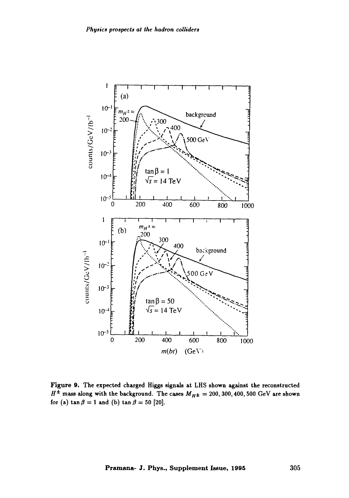

Figure 9. The expected charged Higgs signals at LHS shown against the reconstructed  $H^{\pm}$  mass along with the background. The cases  $M_{H^{\pm}} = 200, 300, 400, 500$  GeV are shown for (a)  $\tan \beta = 1$  and (b)  $\tan \beta = 50$  [20].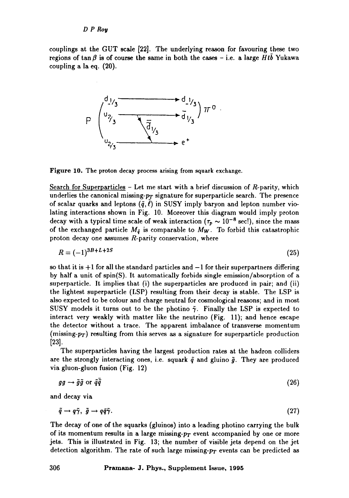couplings at the GUT scale [22]. The underlying reason for favouring these two regions of tan  $\beta$  is of course the same in both the cases - i.e. a large *Htb* Yukawa coupling a la eq. (20).



Figure 1O. The proton decay process arising from squark exchange.

Search for Superparticles  $-$  Let me start with a brief discussion of  $R$ -parity, which underlies the canonical missing- $p_T$  signature for superparticle search. The presence of scalar quarks and leptons  $({\tilde q}, \ell)$  in SUSY imply baryon and lepton number violating interactions shown in Fig. 10. Moreover this diagram would imply proton decay with a typical time scale of weak interaction ( $\tau_p \sim 10^{-8}$  sec!), since the mass of the exchanged particle  $M_{\tilde{q}}$  is comparable to  $M_W$ . To forbid this catastrophic proton decay one assumes  $R$ -parity conservation, where

$$
R = (-1)^{3B + L + 2S} \tag{25}
$$

so that it is  $+1$  for all the standard particles and  $-1$  for their superpartners differing by half a unit of spin(S). It automatically forbids single emission/absorption of a superparticle. It implies that (i) the superparticles are produced in pair; and (ii) the lightest superparticle (LSP) resulting from their decay is stable. The LSP is also expected to be colour and charge neutral for cosmological reasons; and in most SUSY models it turns out to be the photino  $\tilde{\gamma}$ . Finally the LSP is expected to interact very weakly with matter like the neutrino (Fig. 11); and hence escape the detector without a trace. The apparent imbalance of transverse momentum (missing- $p_T$ ) resulting from this serves as a signature for superparticle production [23].

The superparticles having the largest production rates at the hadron colliders are the strongly interacting ones, i.e. squark  $q$  and gluino  $q$ . They are produced via gluon-gluon fusion (Fig. 12)

$$
gg \to \tilde{g}\tilde{g} \text{ or } \tilde{q}\tilde{\bar{q}} \tag{26}
$$

and decay via

$$
\tilde{q} \to q\tilde{\gamma}, \ \tilde{g} \to q\bar{q}\tilde{\gamma}.\tag{27}
$$

The decay of one of the squarks (gluinos) into a leading photino carrying the bulk of its momentum results in a large missing- $p_T$  event accompanied by one or more jets. This is illustrated in Fig. 13; the number of visible jets depend on the jet detection algorithm. The rate of such large missing- $p_T$  events can be predicted as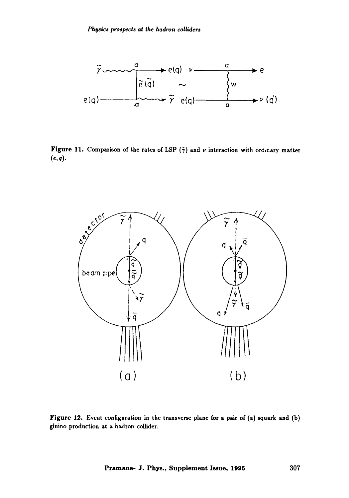

Figure 11. Comparison of the rates of LSP  $(\tilde{\gamma})$  and  $\nu$  interaction with ordinary matter  $(e, q)$ .



Figure 12. Event configuration in the transverse plane for a pair of (a) squark and (b) gluino production at a hadron collider.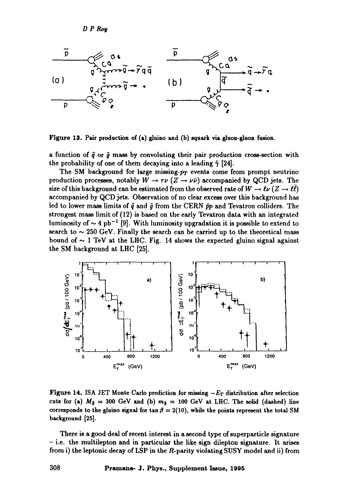*D P Rop* 



Figure 13. Pair production of (a) gluino and (b) squark via gluon-gluon fusion.

a function of  $\tilde{q}$  or  $\tilde{g}$  mass by convoluting their pair production cross-section with the probability of one of them decaying into a leading  $\tilde{\gamma}$  [24].

The SM background for large missing- $p_T$  events come from prompt neutrino production processes, notably  $W \to \tau \nu (Z \to \nu \bar{\nu})$  accompanied by QCD jets. The size of this background can be estimated from the observed rate of  $W \to \ell \nu$  ( $Z \to \ell \bar{\ell}$ ) accompanied by QCD jets. Observation of no clear excess over this background has led to lower mass limits of  $\tilde{q}$  and  $\tilde{g}$  from the CERN  $\bar{p}p$  and Tevatron colliders. The strongest mass limit of (12) is based on the early Tevatron data with an integrated luminosity of  $\sim 4$  pb<sup>-1</sup> [9]. With luminosity upgradation it is possible to extend to search to  $\sim$  250 GeV. Finally the search can be carried up to the theoretical mass bound of  $\sim$  1 TeV at the LHC. Fig. 14 shows the expected gluino signal against the SM background at LHC [25].



**Figure 14.** ISA JET Monte Carlo prediction for missing  $-E_T$  distribution after selection cuts for (a)  $M_{\tilde{g}} = 300$  GeV and (b)  $m_{\tilde{g}} = 100$  GeV at LHC. The solid (dashed) line corresponds to the gluino signal for  $\tan \beta = 2(10)$ , while the points represent the total SM **background [25].** 

There is a good deal of recent interest in a second type of superparticle signature **-** i.e. the multilepton and in particular the like sign dilepton signature. It arises from i) the leptonic decay of LSP in the R-parity violating SUSY model and ii) from

**308 Pramana- J. Phys., Supplement Issue, 1995**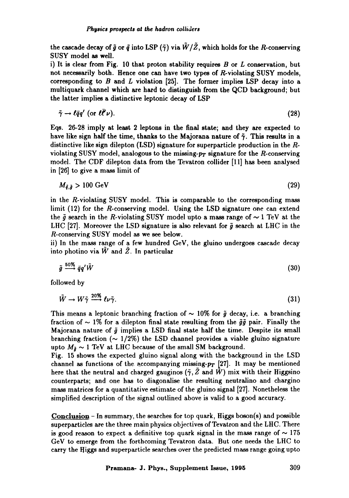the cascade decay of  $\tilde{q}$  or  $\tilde{q}$  into LSP ( $\tilde{\gamma}$ ) via  $\tilde{W}/\tilde{Z}$ , which holds for the R-conserving SUSY model as well.

i) It is clear from Fig. 10 that proton stability requires  $B$  or  $L$  conservation, but not necessarily both. Hence one can have two types of R-violating SUSY models, corresponding to  $B$  and  $L$  violation [25]. The former implies LSP decay into a multiquark channel which are hard to distinguish from the QCD background; but the latter implies a distinctive leptonic decay of LSP

$$
\tilde{\gamma} \to \ell \bar{q} q' \text{ (or } \ell \bar{\ell}' \nu). \tag{28}
$$

Eqs. 26-28 imply at least 2 leptons in the final state; and they are expected to have like sign half the time, thanks to the Majorana nature of  $\tilde{\gamma}$ . This results in a distinctive like sign dilepton (LSD) signature for superparticle production in the  $R$ violating SUSY model, analogous to the missing- $p_T$  signature for the R-conserving model. The CDF dilepton data from the Tevatron collider [11] has been analysed in [26] to give a mass limit of

$$
M_{\tilde{q},\tilde{g}} > 100 \text{ GeV} \tag{29}
$$

in the R-violating SUSY model. This is comparable to the corresponding mass limit (12) for the R-conserving model. Using the LSD signature one can extend the  $\tilde{g}$  search in the R-violating SUSY model upto a mass range of  $\sim 1$  TeV at the LHC [27]. Moreover the LSD signature is also relevant for  $\tilde{\sigma}$  search at LHC in the R-conserving SUSY model as we see below.

ii) In the mass range of a few hundred GeV, the gluino undergoes cascade decay into photino via  $\tilde{W}$  and  $\tilde{Z}$ . In particular

$$
\tilde{g} \stackrel{50\%}{\longrightarrow} \bar{q}q'\tilde{W} \tag{30}
$$

followed by

$$
\tilde{W} \to W\tilde{\gamma} \xrightarrow{20\%} \ell \nu \tilde{\gamma}.\tag{31}
$$

This means a leptonic branching fraction of  $\sim 10\%$  for  $\tilde{q}$  decay, i.e. a branching fraction of  $\sim$  1% for a dilepton final state resulting from the  $\tilde{g}\tilde{g}$  pair. Finally the Majorana nature of  $\tilde{g}$  implies a LSD final state half the time. Despite its small branching fraction ( $\sim 1/2\%$ ) the LSD channel provides a viable gluino signature upto  $M_{\tilde{g}} \sim 1$  TeV at LHC because of the small SM background.

Fig. 15 shows the expected gluino signal along with the background in the LSD channel as functions of the accompanying missing- $p_T$  [27]. It may be mentioned here that the neutral and charged gauginos ( $\tilde{\gamma}$ ,  $\tilde{Z}$  and  $\tilde{W}$ ) mix with their Higgsino counterparts; and one has to diagonalise the resulting neutralino and chargino mass matrices for a quantitative estimate of the gluino signal [27]. Nonetheless the simplified description of the signal outlined above is valid to a good accuracy.

Conclusion - In summary, the searches for top quark, Higgs boson(s) and possible superparticles are the three main physics objectives of Tevatron and the LHC. There is good reason to expect a definitive top quark signal in the mass range of  $\sim$  175 GeV to emerge from the forthcoming Tevatron data. But one needs the LHC to carry the Higgs and superparticle searches over the predicted mass range going upto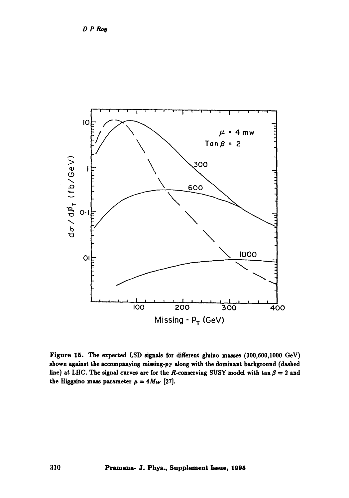

Figure 15. The expected LSD signals for different glnino masses (300,600,1000 GeV) shown against the accompanying missing-p<sub>T</sub> along with the dominant background (dashed line) at LHC. The signal curves are for the R-conserving SUSY model with  $\tan \beta = 2$  and the Higgsino mass parameter  $\mu = 4M_W$  [27].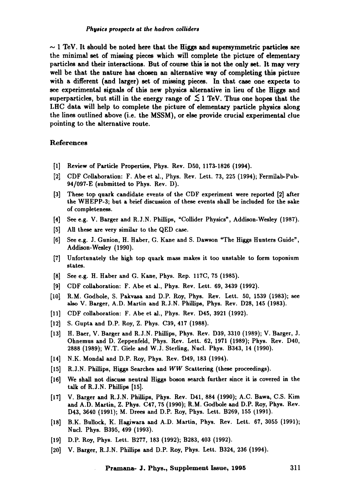$\sim$  1 TeV. It should be noted here that the Higgs and supersymmetric particles are the minimal set of missing pieces which will complete the picture of elementary particles and their interactions. But of course this is not the only set. It may very well be that the nature has chosen an alternative way of completing this picture with a different (and larger) set of missing pieces. In that case one expects to see experimental signals of this new physics alternative in lieu of the Higgs and superparticles, but still in the energy range of  $\lesssim$  1 TeV. Thus one hopes that the LHC data will help to complete the picture of elementary particle physics along the lines outlined above (i.e. the MSSM), or else provide crucial experimental clue pointing to the alternative route.

#### References

- [1] Review of Particle Properties, Phys. Rev. D50, 1173-1826 (1994).
- [2] CDF Collaboration: F. Abe et al., Phys. Rev. Lett. 73, 225 (1994); Fermilab-Pub-94/097-E (submitted to Phys. Rev. D).
- [3] These top quark candidate events of the CDF experiment were reported [2] after the WHEPP-3; but a brief discussion of these events shall be included for the sake of completeness.
- [4] See e.g. V. Barger and R.J.N. Phillips, "Collider Physics", Addison-Wesley (1987).
- [5] All these are very similar to the QED case.
- [6] See e.g.J. Gunion, H. Haber, G. Kane and S. Dawson "The Higgs Hunters Guide", Addison-Wesley (1990).
- [7] Unfortunately the high top quark mass makes it too unstable to form toponium states.
- [8] See e.g. H. Haber and G. Kane, Phys. Rep. 117C, 75 (1985).
- [9] CDF collaboration: F. Abe et al., Phys. Rev. Lett. 69, 3439 (1992).
- [10] R.M. Godbole, S. Pakvasa and D.P. Roy, Phys. Rev. Lett. 50, 1539 (1983); see also V. Barger, A.D. Martin and R.J.N. Phillips, Phys. Rev. D28, 145 (1983).
- [11] CDF collaboration: F. Abe et al., Phys. Rev. D45, 3921 (1992).
- [12] S. Gupta and D.P. Roy, Z. Phys. C39, 417 (1988).
- [13] H. Baer, V. Barger and R.J.N. Phillips, Phys. Rev. D39, 3310 (1989); V. Barger, J. Ohnemus and D. Zeppenfeld, Phys. Rev. Lett. 62, 1971 (1989); Phys. Rev. D40, 2888 (1989); W.T. Giele and W.J. Sterling, Nucl. Phys. B343, 14 (1990).
- [14] N.K. Mondal and D.P. Roy, Phys. Rev. D49, 183 (1994).
- [15] R.J.N. Phillips, Higgs Searches and *WW* Scattering (these proceedings).
- $[16]$  We shall not discuss neutral Higgs boson search further since it is covered in the talk of R.J.N. Phillips [15].
- [17] V. Barger and R.J.N. Phillips, Phys. Rev. D41, 884 (1990); A.C. Bawa, C.S. Kim and A.D. Martin, Z. Phys. C47, 75 (1990); R.M. Godbole and D.P. Roy, Phys. Rev. D43, 3640 (1991); M. Drees and D.P. Roy, Phys. Lett. B269, 155 (1991).
- [18] B.K. Bullock, K. Hagiwara and A.D. Martin, Phys. Rev. Lett. 67, 3055 (1991); Nucl. Phys. B395, 499 (1993).
- [19] D.P. Roy, Phys. Lett. B277, 183 (1992); B283, 403 (1992).
- [20] V. Barger, R.J.N. Phillips and D.P. Roy, Phys. Lett. B324, 236 (1994).